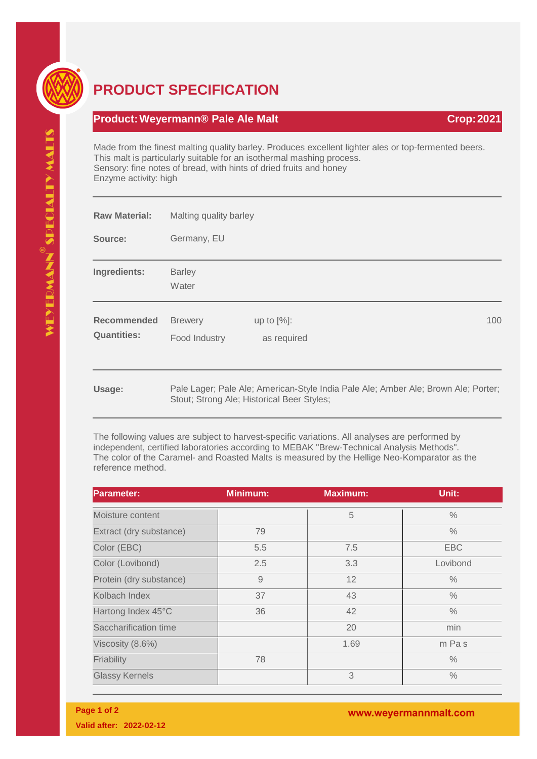

## **PRODUCT SPECIFICATION**

## **Product: Weyermann® Pale Ale Malt Crop: 2021 Crop: 2021**

Made from the finest malting quality barley. Produces excellent lighter ales or top-fermented beers. This malt is particularly suitable for an isothermal mashing process. Sensory: fine notes of bread, with hints of dried fruits and honey Enzyme activity: high

| <b>Raw Material:</b>                     | Malting quality barley          |                                            |  |                                                                                    |
|------------------------------------------|---------------------------------|--------------------------------------------|--|------------------------------------------------------------------------------------|
| Source:                                  | Germany, EU                     |                                            |  |                                                                                    |
| Ingredients:                             | <b>Barley</b><br>Water          |                                            |  |                                                                                    |
| <b>Recommended</b><br><b>Quantities:</b> | <b>Brewery</b><br>Food Industry | up to $[%]$ :<br>as required               |  | 100                                                                                |
| Usage:                                   |                                 | Stout; Strong Ale; Historical Beer Styles; |  | Pale Lager; Pale Ale; American-Style India Pale Ale; Amber Ale; Brown Ale; Porter; |

The following values are subject to harvest-specific variations. All analyses are performed by independent, certified laboratories according to MEBAK "Brew-Technical Analysis Methods". The color of the Caramel- and Roasted Malts is measured by the Hellige Neo-Komparator as the reference method.

| <b>Parameter:</b>       | <b>Minimum:</b> | <b>Maximum:</b> | Unit:         |
|-------------------------|-----------------|-----------------|---------------|
| Moisture content        |                 | 5               | $\%$          |
| Extract (dry substance) | 79              |                 | $\frac{0}{0}$ |
| Color (EBC)             | 5.5             | 7.5             | <b>EBC</b>    |
| Color (Lovibond)        | 2.5             | 3.3             | Lovibond      |
| Protein (dry substance) | 9               | 12              | $\frac{0}{0}$ |
| Kolbach Index           | 37              | 43              | $\frac{0}{0}$ |
| Hartong Index 45°C      | 36              | 42              | $\%$          |
| Saccharification time   |                 | 20              | min           |
| Viscosity (8.6%)        |                 | 1.69            | m Pas         |
| Friability              | 78              |                 | $\%$          |
| <b>Glassy Kernels</b>   |                 | 3               | $\%$          |